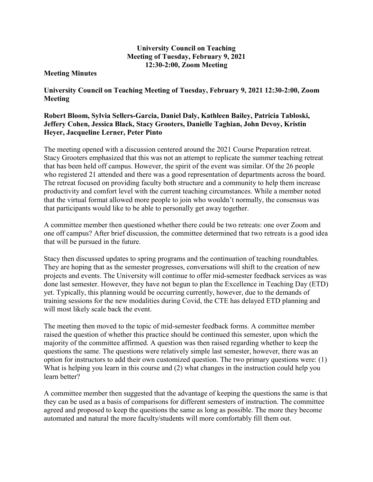## University Council on Teaching Meeting of Tuesday, February 9, 2021 12:30-2:00, Zoom Meeting

## Meeting Minutes

University Council on Teaching Meeting of Tuesday, February 9, 2021 12:30-2:00, Zoom Meeting

## Robert Bloom, Sylvia Sellers-Garcia, Daniel Daly, Kathleen Bailey, Patricia Tabloski, Jeffery Cohen, Jessica Black, Stacy Grooters, Danielle Taghian, John Devoy, Kristin Heyer, Jacqueline Lerner, Peter Pinto

The meeting opened with a discussion centered around the 2021 Course Preparation retreat. Stacy Grooters emphasized that this was not an attempt to replicate the summer teaching retreat that has been held off campus. However, the spirit of the event was similar. Of the 26 people who registered 21 attended and there was a good representation of departments across the board. The retreat focused on providing faculty both structure and a community to help them increase productivity and comfort level with the current teaching circumstances. While a member noted that the virtual format allowed more people to join who wouldn't normally, the consensus was that participants would like to be able to personally get away together.

A committee member then questioned whether there could be two retreats: one over Zoom and one off campus? After brief discussion, the committee determined that two retreats is a good idea that will be pursued in the future.

Stacy then discussed updates to spring programs and the continuation of teaching roundtables. They are hoping that as the semester progresses, conversations will shift to the creation of new projects and events. The University will continue to offer mid-semester feedback services as was done last semester. However, they have not begun to plan the Excellence in Teaching Day (ETD) yet. Typically, this planning would be occurring currently, however, due to the demands of training sessions for the new modalities during Covid, the CTE has delayed ETD planning and will most likely scale back the event.

The meeting then moved to the topic of mid-semester feedback forms. A committee member raised the question of whether this practice should be continued this semester, upon which the majority of the committee affirmed. A question was then raised regarding whether to keep the questions the same. The questions were relatively simple last semester, however, there was an option for instructors to add their own customized question. The two primary questions were: (1) What is helping you learn in this course and (2) what changes in the instruction could help you learn better?

A committee member then suggested that the advantage of keeping the questions the same is that they can be used as a basis of comparisons for different semesters of instruction. The committee agreed and proposed to keep the questions the same as long as possible. The more they become automated and natural the more faculty/students will more comfortably fill them out.